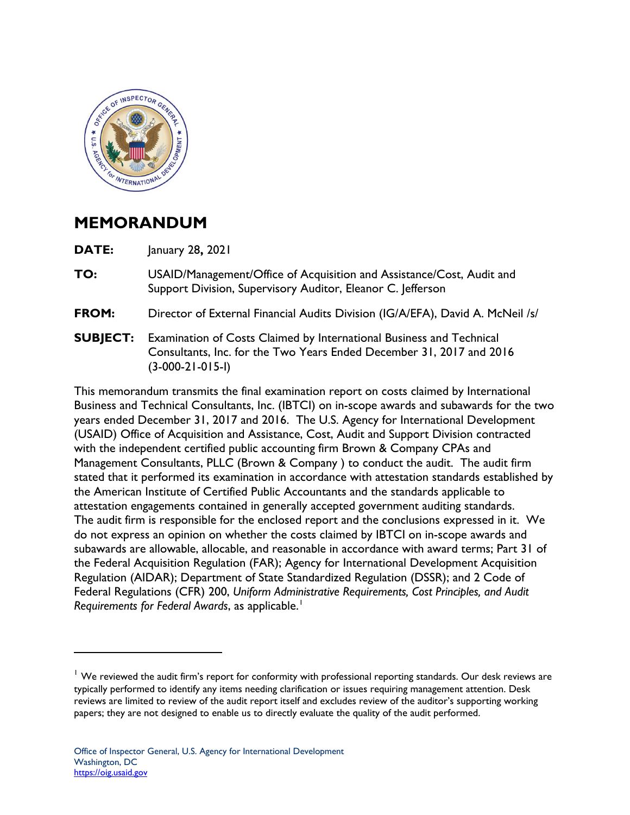

## **MEMORANDUM**

**DATE:** January 28**,** 2021

- **TO:** USAID/Management/Office of Acquisition and Assistance/Cost, Audit and Support Division, Supervisory Auditor, Eleanor C. Jefferson
- **FROM:** Director of External Financial Audits Division (IG/A/EFA), David A. McNeil /s/
- **SUBJECT:** Examination of Costs Claimed by International Business and Technical Consultants, Inc. for the Two Years Ended December 31, 2017 and 2016 (3-000-21-015-I)

This memorandum transmits the final examination report on costs claimed by International Business and Technical Consultants, Inc. (IBTCI) on in-scope awards and subawards for the two years ended December 31, 2017 and 2016. The U.S. Agency for International Development (USAID) Office of Acquisition and Assistance, Cost, Audit and Support Division contracted with the independent certified public accounting firm Brown & Company CPAs and Management Consultants, PLLC (Brown & Company ) to conduct the audit. The audit firm stated that it performed its examination in accordance with attestation standards established by the American Institute of Certified Public Accountants and the standards applicable to attestation engagements contained in generally accepted government auditing standards. The audit firm is responsible for the enclosed report and the conclusions expressed in it. We do not express an opinion on whether the costs claimed by IBTCI on in-scope awards and subawards are allowable, allocable, and reasonable in accordance with award terms; Part 31 of the Federal Acquisition Regulation (FAR); Agency for International Development Acquisition Regulation (AIDAR); Department of State Standardized Regulation (DSSR); and 2 Code of Federal Regulations (CFR) 200, *Uniform Administrative Requirements, Cost Principles, and Audit Requirements for Federal Awards*, as applicable. [1](#page-0-0)

<span id="page-0-0"></span> $<sup>1</sup>$  We reviewed the audit firm's report for conformity with professional reporting standards. Our desk reviews are</sup> typically performed to identify any items needing clarification or issues requiring management attention. Desk reviews are limited to review of the audit report itself and excludes review of the auditor's supporting working papers; they are not designed to enable us to directly evaluate the quality of the audit performed.